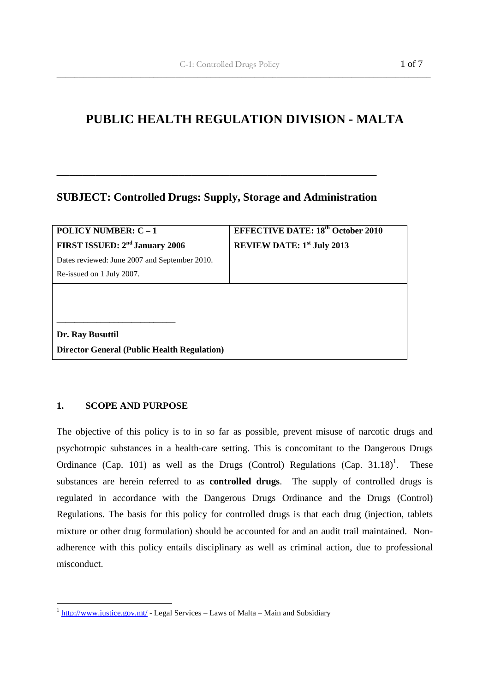# **PUBLIC HEALTH REGULATION DIVISION - MALTA**

 $\overline{\phantom{a}}$  ,  $\overline{\phantom{a}}$  ,  $\overline{\phantom{a}}$  ,  $\overline{\phantom{a}}$  ,  $\overline{\phantom{a}}$  ,  $\overline{\phantom{a}}$  ,  $\overline{\phantom{a}}$  ,  $\overline{\phantom{a}}$  ,  $\overline{\phantom{a}}$  ,  $\overline{\phantom{a}}$  ,  $\overline{\phantom{a}}$  ,  $\overline{\phantom{a}}$  ,  $\overline{\phantom{a}}$  ,  $\overline{\phantom{a}}$  ,  $\overline{\phantom{a}}$  ,  $\overline{\phantom{a}}$ 

# **SUBJECT: Controlled Drugs: Supply, Storage and Administration**

**\_\_\_\_\_\_\_\_\_\_\_\_\_\_\_\_\_\_\_\_\_\_\_\_\_\_\_\_\_\_\_\_\_\_\_\_\_\_\_\_\_\_\_\_\_\_\_\_\_\_** 

| <b>POLICY NUMBER: C - 1</b>                        | <b>EFFECTIVE DATE: 18th October 2010</b> |
|----------------------------------------------------|------------------------------------------|
| FIRST ISSUED: 2 <sup>nd</sup> January 2006         | <b>REVIEW DATE:</b> $1st$ July 2013      |
| Dates reviewed: June 2007 and September 2010.      |                                          |
| Re-issued on 1 July 2007.                          |                                          |
|                                                    |                                          |
|                                                    |                                          |
|                                                    |                                          |
| Dr. Ray Busuttil                                   |                                          |
| <b>Director General (Public Health Regulation)</b> |                                          |

# **1. SCOPE AND PURPOSE**

The objective of this policy is to in so far as possible, prevent misuse of narcotic drugs and psychotropic substances in a health-care setting. This is concomitant to the Dangerous Drugs Ordinance (Cap. 101) as well as the Drugs (Control) Regulations (Cap. 31.18)<sup>1</sup>. . These substances are herein referred to as **controlled drugs**. The supply of controlled drugs is regulated in accordance with the Dangerous Drugs Ordinance and the Drugs (Control) Regulations. The basis for this policy for controlled drugs is that each drug (injection, tablets mixture or other drug formulation) should be accounted for and an audit trail maintained. Nonadherence with this policy entails disciplinary as well as criminal action, due to professional misconduct.

<sup>&</sup>lt;sup>1</sup> http://www.justice.gov.mt/ - Legal Services – Laws of Malta – Main and Subsidiary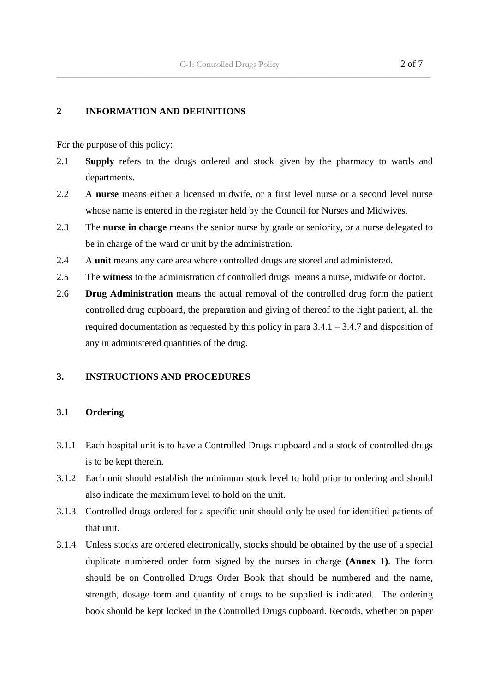$\overline{\phantom{a}}$  ,  $\overline{\phantom{a}}$  ,  $\overline{\phantom{a}}$  ,  $\overline{\phantom{a}}$  ,  $\overline{\phantom{a}}$  ,  $\overline{\phantom{a}}$  ,  $\overline{\phantom{a}}$  ,  $\overline{\phantom{a}}$  ,  $\overline{\phantom{a}}$  ,  $\overline{\phantom{a}}$  ,  $\overline{\phantom{a}}$  ,  $\overline{\phantom{a}}$  ,  $\overline{\phantom{a}}$  ,  $\overline{\phantom{a}}$  ,  $\overline{\phantom{a}}$  ,  $\overline{\phantom{a}}$ 

#### **2 INFORMATION AND DEFINITIONS**

For the purpose of this policy:

- 2.1 **Supply** refers to the drugs ordered and stock given by the pharmacy to wards and departments.
- 2.2 A **nurse** means either a licensed midwife, or a first level nurse or a second level nurse whose name is entered in the register held by the Council for Nurses and Midwives.
- 2.3 The **nurse in charge** means the senior nurse by grade or seniority, or a nurse delegated to be in charge of the ward or unit by the administration.
- 2.4 A **unit** means any care area where controlled drugs are stored and administered.
- 2.5 The **witness** to the administration of controlled drugs means a nurse, midwife or doctor.
- 2.6 **Drug Administration** means the actual removal of the controlled drug form the patient controlled drug cupboard, the preparation and giving of thereof to the right patient, all the required documentation as requested by this policy in para  $3.4.1 - 3.4.7$  and disposition of any in administered quantities of the drug.

# **3. INSTRUCTIONS AND PROCEDURES**

# **3.1 Ordering**

- 3.1.1 Each hospital unit is to have a Controlled Drugs cupboard and a stock of controlled drugs is to be kept therein.
- 3.1.2 Each unit should establish the minimum stock level to hold prior to ordering and should also indicate the maximum level to hold on the unit.
- 3.1.3 Controlled drugs ordered for a specific unit should only be used for identified patients of that unit.
- 3.1.4 Unless stocks are ordered electronically, stocks should be obtained by the use of a special duplicate numbered order form signed by the nurses in charge **(Annex 1)**. The form should be on Controlled Drugs Order Book that should be numbered and the name, strength, dosage form and quantity of drugs to be supplied is indicated. The ordering book should be kept locked in the Controlled Drugs cupboard. Records, whether on paper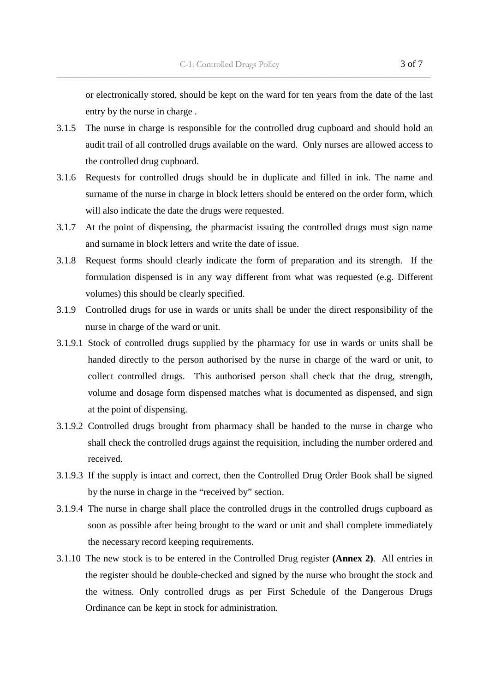or electronically stored, should be kept on the ward for ten years from the date of the last entry by the nurse in charge .

3.1.5 The nurse in charge is responsible for the controlled drug cupboard and should hold an audit trail of all controlled drugs available on the ward. Only nurses are allowed access to the controlled drug cupboard.

 $\overline{\phantom{a}}$  ,  $\overline{\phantom{a}}$  ,  $\overline{\phantom{a}}$  ,  $\overline{\phantom{a}}$  ,  $\overline{\phantom{a}}$  ,  $\overline{\phantom{a}}$  ,  $\overline{\phantom{a}}$  ,  $\overline{\phantom{a}}$  ,  $\overline{\phantom{a}}$  ,  $\overline{\phantom{a}}$  ,  $\overline{\phantom{a}}$  ,  $\overline{\phantom{a}}$  ,  $\overline{\phantom{a}}$  ,  $\overline{\phantom{a}}$  ,  $\overline{\phantom{a}}$  ,  $\overline{\phantom{a}}$ 

- 3.1.6 Requests for controlled drugs should be in duplicate and filled in ink. The name and surname of the nurse in charge in block letters should be entered on the order form, which will also indicate the date the drugs were requested.
- 3.1.7 At the point of dispensing, the pharmacist issuing the controlled drugs must sign name and surname in block letters and write the date of issue.
- 3.1.8 Request forms should clearly indicate the form of preparation and its strength. If the formulation dispensed is in any way different from what was requested (e.g. Different volumes) this should be clearly specified.
- 3.1.9 Controlled drugs for use in wards or units shall be under the direct responsibility of the nurse in charge of the ward or unit.
- 3.1.9.1 Stock of controlled drugs supplied by the pharmacy for use in wards or units shall be handed directly to the person authorised by the nurse in charge of the ward or unit, to collect controlled drugs. This authorised person shall check that the drug, strength, volume and dosage form dispensed matches what is documented as dispensed, and sign at the point of dispensing.
- 3.1.9.2 Controlled drugs brought from pharmacy shall be handed to the nurse in charge who shall check the controlled drugs against the requisition, including the number ordered and received.
- 3.1.9.3 If the supply is intact and correct, then the Controlled Drug Order Book shall be signed by the nurse in charge in the "received by" section.
- 3.1.9.4 The nurse in charge shall place the controlled drugs in the controlled drugs cupboard as soon as possible after being brought to the ward or unit and shall complete immediately the necessary record keeping requirements.
- 3.1.10 The new stock is to be entered in the Controlled Drug register **(Annex 2)**. All entries in the register should be double-checked and signed by the nurse who brought the stock and the witness. Only controlled drugs as per First Schedule of the Dangerous Drugs Ordinance can be kept in stock for administration.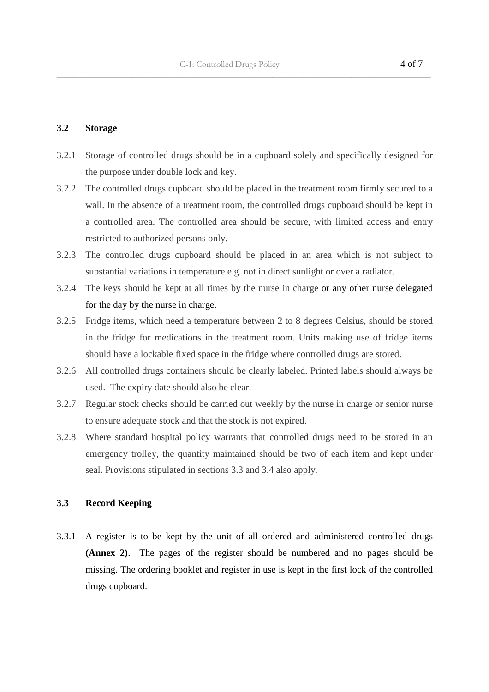$\overline{\phantom{a}}$  ,  $\overline{\phantom{a}}$  ,  $\overline{\phantom{a}}$  ,  $\overline{\phantom{a}}$  ,  $\overline{\phantom{a}}$  ,  $\overline{\phantom{a}}$  ,  $\overline{\phantom{a}}$  ,  $\overline{\phantom{a}}$  ,  $\overline{\phantom{a}}$  ,  $\overline{\phantom{a}}$  ,  $\overline{\phantom{a}}$  ,  $\overline{\phantom{a}}$  ,  $\overline{\phantom{a}}$  ,  $\overline{\phantom{a}}$  ,  $\overline{\phantom{a}}$  ,  $\overline{\phantom{a}}$ 

#### **3.2 Storage**

- 3.2.1 Storage of controlled drugs should be in a cupboard solely and specifically designed for the purpose under double lock and key.
- 3.2.2 The controlled drugs cupboard should be placed in the treatment room firmly secured to a wall. In the absence of a treatment room, the controlled drugs cupboard should be kept in a controlled area. The controlled area should be secure, with limited access and entry restricted to authorized persons only.
- 3.2.3 The controlled drugs cupboard should be placed in an area which is not subject to substantial variations in temperature e.g. not in direct sunlight or over a radiator.
- 3.2.4 The keys should be kept at all times by the nurse in charge or any other nurse delegated for the day by the nurse in charge.
- 3.2.5 Fridge items, which need a temperature between 2 to 8 degrees Celsius, should be stored in the fridge for medications in the treatment room. Units making use of fridge items should have a lockable fixed space in the fridge where controlled drugs are stored.
- 3.2.6 All controlled drugs containers should be clearly labeled. Printed labels should always be used. The expiry date should also be clear.
- 3.2.7 Regular stock checks should be carried out weekly by the nurse in charge or senior nurse to ensure adequate stock and that the stock is not expired.
- 3.2.8 Where standard hospital policy warrants that controlled drugs need to be stored in an emergency trolley, the quantity maintained should be two of each item and kept under seal. Provisions stipulated in sections 3.3 and 3.4 also apply.

# **3.3 Record Keeping**

3.3.1 A register is to be kept by the unit of all ordered and administered controlled drugs **(Annex 2)**. The pages of the register should be numbered and no pages should be missing. The ordering booklet and register in use is kept in the first lock of the controlled drugs cupboard.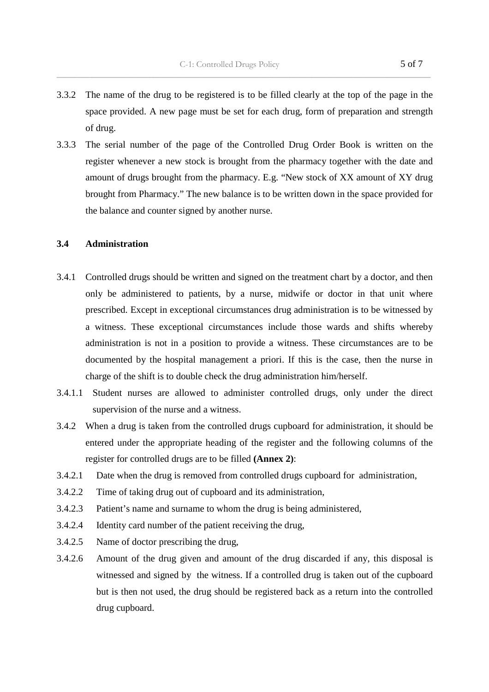3.3.2 The name of the drug to be registered is to be filled clearly at the top of the page in the space provided. A new page must be set for each drug, form of preparation and strength of drug.

 $\overline{\phantom{a}}$  ,  $\overline{\phantom{a}}$  ,  $\overline{\phantom{a}}$  ,  $\overline{\phantom{a}}$  ,  $\overline{\phantom{a}}$  ,  $\overline{\phantom{a}}$  ,  $\overline{\phantom{a}}$  ,  $\overline{\phantom{a}}$  ,  $\overline{\phantom{a}}$  ,  $\overline{\phantom{a}}$  ,  $\overline{\phantom{a}}$  ,  $\overline{\phantom{a}}$  ,  $\overline{\phantom{a}}$  ,  $\overline{\phantom{a}}$  ,  $\overline{\phantom{a}}$  ,  $\overline{\phantom{a}}$ 

3.3.3 The serial number of the page of the Controlled Drug Order Book is written on the register whenever a new stock is brought from the pharmacy together with the date and amount of drugs brought from the pharmacy. E.g. "New stock of XX amount of XY drug brought from Pharmacy." The new balance is to be written down in the space provided for the balance and counter signed by another nurse.

# **3.4 Administration**

- 3.4.1 Controlled drugs should be written and signed on the treatment chart by a doctor, and then only be administered to patients, by a nurse, midwife or doctor in that unit where prescribed. Except in exceptional circumstances drug administration is to be witnessed by a witness. These exceptional circumstances include those wards and shifts whereby administration is not in a position to provide a witness. These circumstances are to be documented by the hospital management a priori. If this is the case, then the nurse in charge of the shift is to double check the drug administration him/herself.
- 3.4.1.1 Student nurses are allowed to administer controlled drugs, only under the direct supervision of the nurse and a witness.
- 3.4.2 When a drug is taken from the controlled drugs cupboard for administration, it should be entered under the appropriate heading of the register and the following columns of the register for controlled drugs are to be filled **(Annex 2)**:
- 3.4.2.1 Date when the drug is removed from controlled drugs cupboard for administration,
- 3.4.2.2 Time of taking drug out of cupboard and its administration,
- 3.4.2.3 Patient's name and surname to whom the drug is being administered,
- 3.4.2.4 Identity card number of the patient receiving the drug,
- 3.4.2.5 Name of doctor prescribing the drug,
- 3.4.2.6 Amount of the drug given and amount of the drug discarded if any, this disposal is witnessed and signed by the witness. If a controlled drug is taken out of the cupboard but is then not used, the drug should be registered back as a return into the controlled drug cupboard.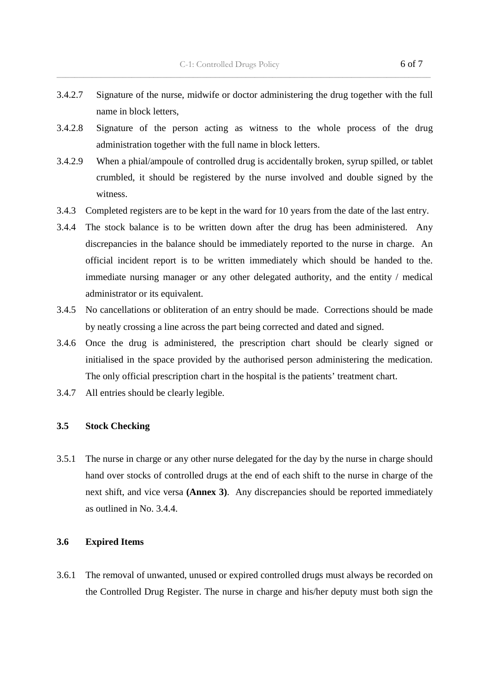3.4.2.7 Signature of the nurse, midwife or doctor administering the drug together with the full name in block letters,

 $\overline{\phantom{a}}$  ,  $\overline{\phantom{a}}$  ,  $\overline{\phantom{a}}$  ,  $\overline{\phantom{a}}$  ,  $\overline{\phantom{a}}$  ,  $\overline{\phantom{a}}$  ,  $\overline{\phantom{a}}$  ,  $\overline{\phantom{a}}$  ,  $\overline{\phantom{a}}$  ,  $\overline{\phantom{a}}$  ,  $\overline{\phantom{a}}$  ,  $\overline{\phantom{a}}$  ,  $\overline{\phantom{a}}$  ,  $\overline{\phantom{a}}$  ,  $\overline{\phantom{a}}$  ,  $\overline{\phantom{a}}$ 

- 3.4.2.8 Signature of the person acting as witness to the whole process of the drug administration together with the full name in block letters.
- 3.4.2.9 When a phial/ampoule of controlled drug is accidentally broken, syrup spilled, or tablet crumbled, it should be registered by the nurse involved and double signed by the witness.
- 3.4.3 Completed registers are to be kept in the ward for 10 years from the date of the last entry.
- 3.4.4 The stock balance is to be written down after the drug has been administered. Any discrepancies in the balance should be immediately reported to the nurse in charge. An official incident report is to be written immediately which should be handed to the. immediate nursing manager or any other delegated authority, and the entity / medical administrator or its equivalent.
- 3.4.5 No cancellations or obliteration of an entry should be made. Corrections should be made by neatly crossing a line across the part being corrected and dated and signed.
- 3.4.6 Once the drug is administered, the prescription chart should be clearly signed or initialised in the space provided by the authorised person administering the medication. The only official prescription chart in the hospital is the patients' treatment chart.
- 3.4.7 All entries should be clearly legible.

#### **3.5 Stock Checking**

3.5.1 The nurse in charge or any other nurse delegated for the day by the nurse in charge should hand over stocks of controlled drugs at the end of each shift to the nurse in charge of the next shift, and vice versa **(Annex 3)**. Any discrepancies should be reported immediately as outlined in No. 3.4.4.

#### **3.6 Expired Items**

3.6.1 The removal of unwanted, unused or expired controlled drugs must always be recorded on the Controlled Drug Register. The nurse in charge and his/her deputy must both sign the